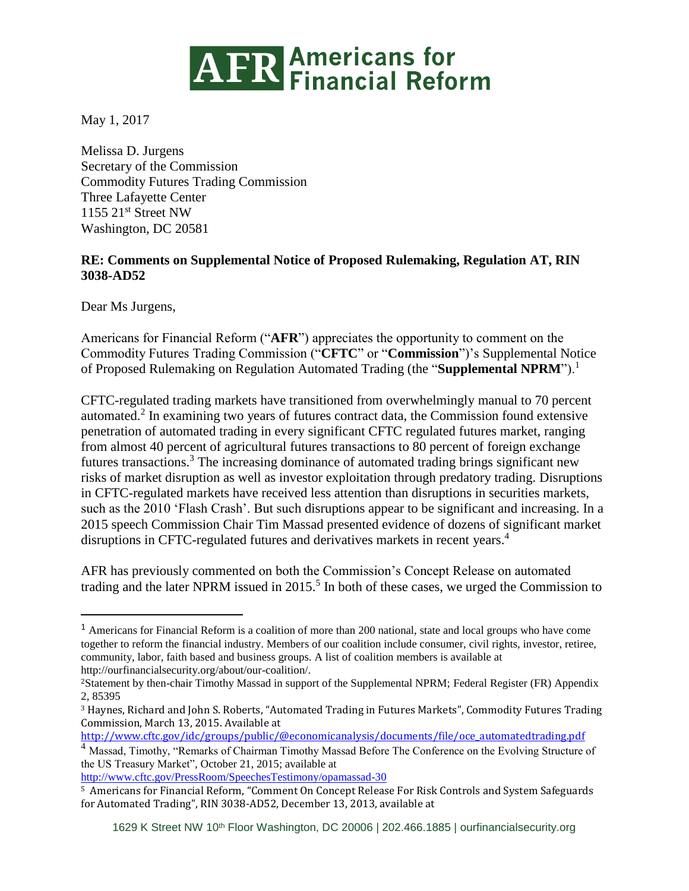

May 1, 2017

Melissa D. Jurgens Secretary of the Commission Commodity Futures Trading Commission Three Lafayette Center 1155 21st Street NW Washington, DC 20581

## **RE: Comments on Supplemental Notice of Proposed Rulemaking, Regulation AT, RIN 3038-AD52**

Dear Ms Jurgens,

 $\overline{a}$ 

Americans for Financial Reform ("**AFR**") appreciates the opportunity to comment on the Commodity Futures Trading Commission ("**CFTC**" or "**Commission**")'s Supplemental Notice of Proposed Rulemaking on Regulation Automated Trading (the "**Supplemental NPRM**").<sup>1</sup>

CFTC-regulated trading markets have transitioned from overwhelmingly manual to 70 percent automated.<sup>2</sup> In examining two years of futures contract data, the Commission found extensive penetration of automated trading in every significant CFTC regulated futures market, ranging from almost 40 percent of agricultural futures transactions to 80 percent of foreign exchange futures transactions.<sup>3</sup> The increasing dominance of automated trading brings significant new risks of market disruption as well as investor exploitation through predatory trading. Disruptions in CFTC-regulated markets have received less attention than disruptions in securities markets, such as the 2010 'Flash Crash'. But such disruptions appear to be significant and increasing. In a 2015 speech Commission Chair Tim Massad presented evidence of dozens of significant market disruptions in CFTC-regulated futures and derivatives markets in recent years.<sup>4</sup>

AFR has previously commented on both the Commission's Concept Release on automated trading and the later NPRM issued in  $2015$ <sup>5</sup> In both of these cases, we urged the Commission to

[http://www.cftc.gov/idc/groups/public/@economicanalysis/documents/file/oce\\_automatedtrading.pdf](http://www.cftc.gov/idc/groups/public/@economicanalysis/documents/file/oce_automatedtrading.pdf) <sup>4</sup> Massad, Timothy, "Remarks of Chairman Timothy Massad Before The Conference on the Evolving Structure of

the US Treasury Market", October 21, 2015; available at <http://www.cftc.gov/PressRoom/SpeechesTestimony/opamassad-30>

<sup>1</sup> Americans for Financial Reform is a coalition of more than 200 national, state and local groups who have come together to reform the financial industry. Members of our coalition include consumer, civil rights, investor, retiree, community, labor, faith based and business groups. A list of coalition members is available at http://ourfinancialsecurity.org/about/our-coalition/.

<sup>2</sup>Statement by then-chair Timothy Massad in support of the Supplemental NPRM; Federal Register (FR) Appendix 2, 85395

<sup>3</sup> Haynes, Richard and John S. Roberts, "Automated Trading in Futures Markets", Commodity Futures Trading Commission, March 13, 2015. Available at

<sup>5</sup> Americans for Financial Reform, "Comment On Concept Release For Risk Controls and System Safeguards for Automated Trading", RIN 3038-AD52, December 13, 2013, available at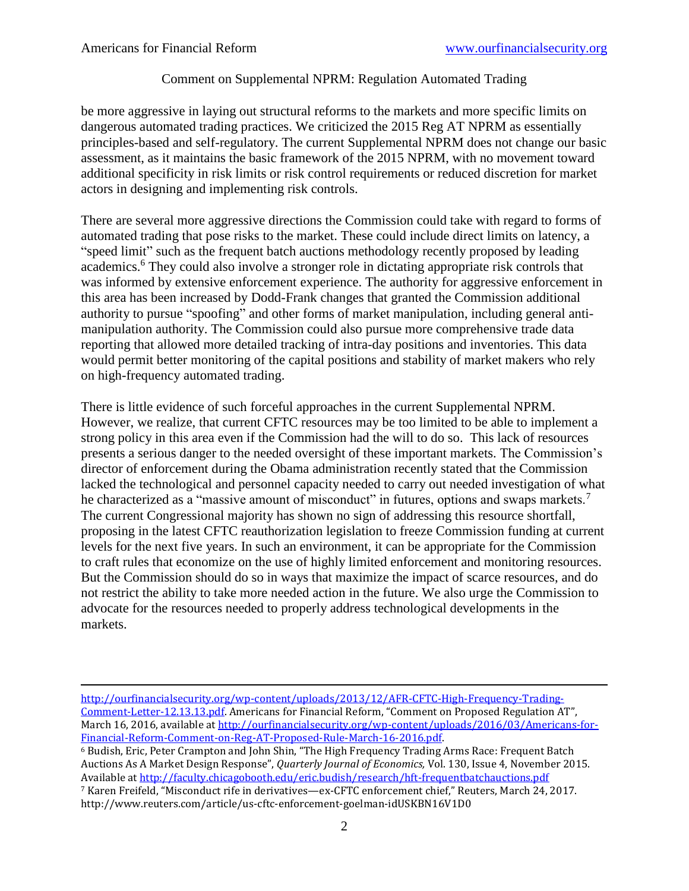## Comment on Supplemental NPRM: Regulation Automated Trading

be more aggressive in laying out structural reforms to the markets and more specific limits on dangerous automated trading practices. We criticized the 2015 Reg AT NPRM as essentially principles-based and self-regulatory. The current Supplemental NPRM does not change our basic assessment, as it maintains the basic framework of the 2015 NPRM, with no movement toward additional specificity in risk limits or risk control requirements or reduced discretion for market actors in designing and implementing risk controls.

There are several more aggressive directions the Commission could take with regard to forms of automated trading that pose risks to the market. These could include direct limits on latency, a "speed limit" such as the frequent batch auctions methodology recently proposed by leading academics.<sup>6</sup> They could also involve a stronger role in dictating appropriate risk controls that was informed by extensive enforcement experience. The authority for aggressive enforcement in this area has been increased by Dodd-Frank changes that granted the Commission additional authority to pursue "spoofing" and other forms of market manipulation, including general antimanipulation authority. The Commission could also pursue more comprehensive trade data reporting that allowed more detailed tracking of intra-day positions and inventories. This data would permit better monitoring of the capital positions and stability of market makers who rely on high-frequency automated trading.

There is little evidence of such forceful approaches in the current Supplemental NPRM. However, we realize, that current CFTC resources may be too limited to be able to implement a strong policy in this area even if the Commission had the will to do so. This lack of resources presents a serious danger to the needed oversight of these important markets. The Commission's director of enforcement during the Obama administration recently stated that the Commission lacked the technological and personnel capacity needed to carry out needed investigation of what he characterized as a "massive amount of misconduct" in futures, options and swaps markets.<sup>7</sup> The current Congressional majority has shown no sign of addressing this resource shortfall, proposing in the latest CFTC reauthorization legislation to freeze Commission funding at current levels for the next five years. In such an environment, it can be appropriate for the Commission to craft rules that economize on the use of highly limited enforcement and monitoring resources. But the Commission should do so in ways that maximize the impact of scarce resources, and do not restrict the ability to take more needed action in the future. We also urge the Commission to advocate for the resources needed to properly address technological developments in the markets.

 $\overline{a}$ [http://ourfinancialsecurity.org/wp-content/uploads/2013/12/AFR-CFTC-High-Frequency-Trading-](http://ourfinancialsecurity.org/wp-content/uploads/2013/12/AFR-CFTC-High-Frequency-Trading-Comment-Letter-12.13.13.pdf)[Comment-Letter-12.13.13.pdf.](http://ourfinancialsecurity.org/wp-content/uploads/2013/12/AFR-CFTC-High-Frequency-Trading-Comment-Letter-12.13.13.pdf) Americans for Financial Reform, "Comment on Proposed Regulation AT", March 16, 2016, available at [http://ourfinancialsecurity.org/wp-content/uploads/2016/03/Americans-for-](http://ourfinancialsecurity.org/wp-content/uploads/2016/03/Americans-for-Financial-Reform-Comment-on-Reg-AT-Proposed-Rule-March-16-2016.pdf)[Financial-Reform-Comment-on-Reg-AT-Proposed-Rule-March-16-2016.pdf.](http://ourfinancialsecurity.org/wp-content/uploads/2016/03/Americans-for-Financial-Reform-Comment-on-Reg-AT-Proposed-Rule-March-16-2016.pdf)

<sup>6</sup> Budish, Eric, Peter Crampton and John Shin, "The High Frequency Trading Arms Race: Frequent Batch Auctions As A Market Design Response", *Quarterly Journal of Economics,* Vol. 130, Issue 4, November 2015. Available a[t http://faculty.chicagobooth.edu/eric.budish/research/hft-frequentbatchauctions.pdf](http://faculty.chicagobooth.edu/eric.budish/research/hft-frequentbatchauctions.pdf)

<sup>7</sup> Karen Freifeld, "Misconduct rife in derivatives—ex-CFTC enforcement chief," Reuters, March 24, 2017. http://www.reuters.com/article/us-cftc-enforcement-goelman-idUSKBN16V1D0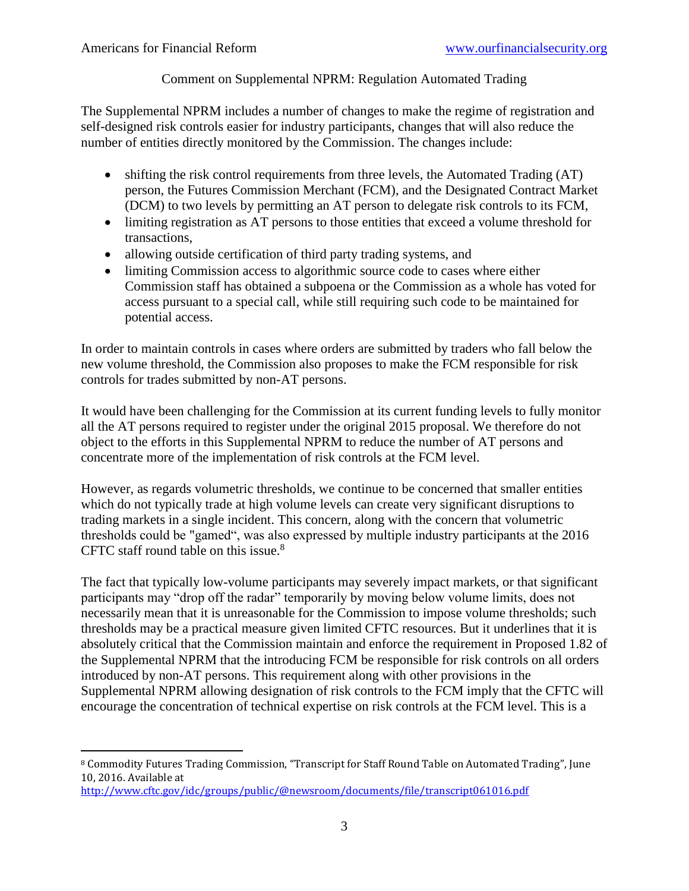$\overline{a}$ 

## Comment on Supplemental NPRM: Regulation Automated Trading

The Supplemental NPRM includes a number of changes to make the regime of registration and self-designed risk controls easier for industry participants, changes that will also reduce the number of entities directly monitored by the Commission. The changes include:

- shifting the risk control requirements from three levels, the Automated Trading (AT) person, the Futures Commission Merchant (FCM), and the Designated Contract Market (DCM) to two levels by permitting an AT person to delegate risk controls to its FCM,
- limiting registration as AT persons to those entities that exceed a volume threshold for transactions,
- allowing outside certification of third party trading systems, and
- limiting Commission access to algorithmic source code to cases where either Commission staff has obtained a subpoena or the Commission as a whole has voted for access pursuant to a special call, while still requiring such code to be maintained for potential access.

In order to maintain controls in cases where orders are submitted by traders who fall below the new volume threshold, the Commission also proposes to make the FCM responsible for risk controls for trades submitted by non-AT persons.

It would have been challenging for the Commission at its current funding levels to fully monitor all the AT persons required to register under the original 2015 proposal. We therefore do not object to the efforts in this Supplemental NPRM to reduce the number of AT persons and concentrate more of the implementation of risk controls at the FCM level.

However, as regards volumetric thresholds, we continue to be concerned that smaller entities which do not typically trade at high volume levels can create very significant disruptions to trading markets in a single incident. This concern, along with the concern that volumetric thresholds could be "gamed", was also expressed by multiple industry participants at the 2016 CFTC staff round table on this issue.<sup>8</sup>

The fact that typically low-volume participants may severely impact markets, or that significant participants may "drop off the radar" temporarily by moving below volume limits, does not necessarily mean that it is unreasonable for the Commission to impose volume thresholds; such thresholds may be a practical measure given limited CFTC resources. But it underlines that it is absolutely critical that the Commission maintain and enforce the requirement in Proposed 1.82 of the Supplemental NPRM that the introducing FCM be responsible for risk controls on all orders introduced by non-AT persons. This requirement along with other provisions in the Supplemental NPRM allowing designation of risk controls to the FCM imply that the CFTC will encourage the concentration of technical expertise on risk controls at the FCM level. This is a

<sup>8</sup> Commodity Futures Trading Commission, "Transcript for Staff Round Table on Automated Trading", June 10, 2016. Available at

<http://www.cftc.gov/idc/groups/public/@newsroom/documents/file/transcript061016.pdf>